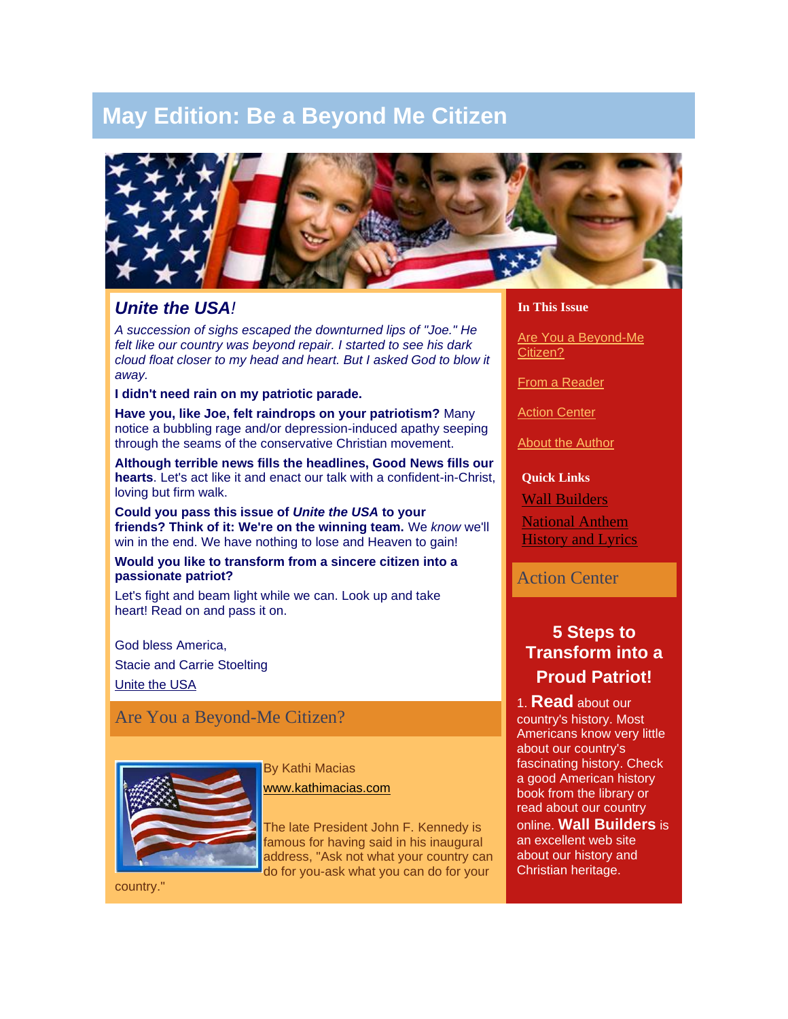# **May Edition: Be a Beyond Me Citizen**



### *Unite the USA!*

*A succession of sighs escaped the downturned lips of "Joe." He felt like our country was beyond repair. I started to see his dark cloud float closer to my head and heart. But I asked God to blow it away.*

**I didn't need rain on my patriotic parade.**

**Have you, like Joe, felt raindrops on your patriotism?** Many notice a bubbling rage and/or depression-induced apathy seeping through the seams of the conservative Christian movement.

**Although terrible news fills the headlines, Good News fills our hearts**. Let's act like it and enact our talk with a confident-in-Christ, loving but firm walk.

**Could you pass this issue of** *Unite the USA* **to your friends? Think of it: We're on the winning team.** We *know* we'll win in the end. We have nothing to lose and Heaven to gain!

**Would you like to transform from a sincere citizen into a passionate patriot?**

Let's fight and beam light while we can. Look up and take heart! Read on and pass it on.

God bless America, Stacie and Carrie Stoelting [Unite the USA](http://rs6.net/tn.jsp?et=1102583012978&s=1&e=0012O_kDKsbAyURZKbcUEO37XVxSlpZ3y7XGDmlf2Za90IA65wQVhPF1QXmq7Vk-bPpNnyuk4z39zS1rePSczol0-_PepGDbFe-kV1ODFatadI=)

## Are You a Beyond-Me Citizen?



By Kathi Macias [www.kathimacias.com](http://rs6.net/tn.jsp?et=1102583012978&s=1&e=0012O_kDKsbAyVFjOg64HYvI2o4Oc9Sz961BscZPsq6jqPuhJOCsMUEWsPeOTENWZ9Cv-Qc8mx_pHkmqDcK31mRdgBl--8tJf57HCnhqoDRD11qGYM9VwFnTA==)

The late President John F. Kennedy is famous for having said in his inaugural address, "Ask not what your country can do for you-ask what you can do for your

country."

#### **In This Issue**

[Are You a Beyond-Me](http://campaign.constantcontact.com/render?v=001DGAPTScH3qej6Divy4xzSVWS6LEG026B4L8kyaegZj07T12g-mGhrnvp3s9GhBEIry2ZpXX8gpzrD13VfpQ1iyUlad3TTGE733_fMd6Aya0xpwpwv0tfFhKM1eXCK7vOWjacgfYyCoI%3D#LETTER.BLOCK5)  [Citizen?](http://campaign.constantcontact.com/render?v=001DGAPTScH3qej6Divy4xzSVWS6LEG026B4L8kyaegZj07T12g-mGhrnvp3s9GhBEIry2ZpXX8gpzrD13VfpQ1iyUlad3TTGE733_fMd6Aya0xpwpwv0tfFhKM1eXCK7vOWjacgfYyCoI%3D#LETTER.BLOCK5)

[From a Reader](http://campaign.constantcontact.com/render?v=001DGAPTScH3qej6Divy4xzSVWS6LEG026B4L8kyaegZj07T12g-mGhrnvp3s9GhBEIry2ZpXX8gpzrD13VfpQ1iyUlad3TTGE733_fMd6Aya0xpwpwv0tfFhKM1eXCK7vOWjacgfYyCoI%3D#LETTER.BLOCK6)

[Action Center](http://campaign.constantcontact.com/render?v=001DGAPTScH3qej6Divy4xzSVWS6LEG026B4L8kyaegZj07T12g-mGhrnvp3s9GhBEIry2ZpXX8gpzrD13VfpQ1iyUlad3TTGE733_fMd6Aya0xpwpwv0tfFhKM1eXCK7vOWjacgfYyCoI%3D#LETTER.BLOCK15)

[About the Author](http://campaign.constantcontact.com/render?v=001DGAPTScH3qej6Divy4xzSVWS6LEG026B4L8kyaegZj07T12g-mGhrnvp3s9GhBEIry2ZpXX8gpzrD13VfpQ1iyUlad3TTGE733_fMd6Aya0xpwpwv0tfFhKM1eXCK7vOWjacgfYyCoI%3D#LETTER.BLOCK12)

**Quick Links**

[Wall Builders](http://rs6.net/tn.jsp?et=1102583012978&s=1&e=0012O_kDKsbAyX2BSRY8a5ODEstS1M7_9oVUmrg0HWnl8fLZJiasBjCl8PT5MQ6LFEoQ4c-uvJdFFXi8QY0z5chANqy6QwA1bRcRpFdIRC-DF-nocod-uD6uQ==)

[National Anthem](http://rs6.net/tn.jsp?et=1102583012978&s=1&e=0012O_kDKsbAyWzuBENuTooWFa38zv9ILj4G9jiIs2E2Hzz7hcVfRVxpmQ1rkzsxg1v1GczeP6-K8yCmjsTvBwcQyPMPTuYE_vG9i9xzw3w-GTiclPD13XanlTemnppF2XWWdKQZc0MZwoiB-uouTA8GQ==)  [History and Lyrics](http://rs6.net/tn.jsp?et=1102583012978&s=1&e=0012O_kDKsbAyWzuBENuTooWFa38zv9ILj4G9jiIs2E2Hzz7hcVfRVxpmQ1rkzsxg1v1GczeP6-K8yCmjsTvBwcQyPMPTuYE_vG9i9xzw3w-GTiclPD13XanlTemnppF2XWWdKQZc0MZwoiB-uouTA8GQ==)

#### Action Center

# **5 Steps to Transform into a Proud Patriot!**

1. **Read** about our country's history. Most Americans know very little about our country's fascinating history. Check a good American history book from the library or read about our country online. **[Wall Builders](http://rs6.net/tn.jsp?et=1102583012978&s=1&e=0012O_kDKsbAyX2BSRY8a5ODEstS1M7_9oVUmrg0HWnl8fLZJiasBjCl8PT5MQ6LFEoQ4c-uvJdFFXi8QY0z5chANqy6QwA1bRcRpFdIRC-DF-nocod-uD6uQ==)** is an excellent web site about our history and Christian heritage.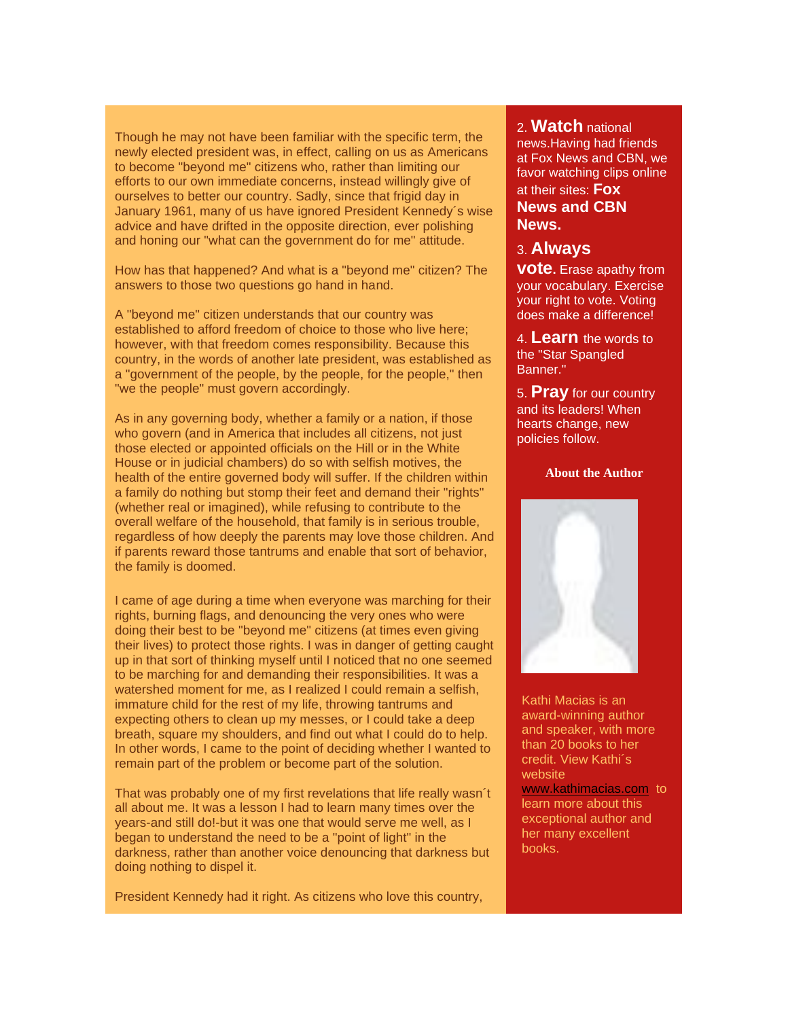Though he may not have been familiar with the specific term, the newly elected president was, in effect, calling on us as Americans to become "beyond me" citizens who, rather than limiting our efforts to our own immediate concerns, instead willingly give of ourselves to better our country. Sadly, since that frigid day in January 1961, many of us have ignored President Kennedy´s wise advice and have drifted in the opposite direction, ever polishing and honing our "what can the government do for me" attitude.

How has that happened? And what is a "beyond me" citizen? The answers to those two questions go hand in hand.

A "beyond me" citizen understands that our country was established to afford freedom of choice to those who live here; however, with that freedom comes responsibility. Because this country, in the words of another late president, was established as a "government of the people, by the people, for the people," then "we the people" must govern accordingly.

As in any governing body, whether a family or a nation, if those who govern (and in America that includes all citizens, not just those elected or appointed officials on the Hill or in the White House or in judicial chambers) do so with selfish motives, the health of the entire governed body will suffer. If the children within a family do nothing but stomp their feet and demand their "rights" (whether real or imagined), while refusing to contribute to the overall welfare of the household, that family is in serious trouble, regardless of how deeply the parents may love those children. And if parents reward those tantrums and enable that sort of behavior, the family is doomed.

I came of age during a time when everyone was marching for their rights, burning flags, and denouncing the very ones who were doing their best to be "beyond me" citizens (at times even giving their lives) to protect those rights. I was in danger of getting caught up in that sort of thinking myself until I noticed that no one seemed to be marching for and demanding their responsibilities. It was a watershed moment for me, as I realized I could remain a selfish, immature child for the rest of my life, throwing tantrums and expecting others to clean up my messes, or I could take a deep breath, square my shoulders, and find out what I could do to help. In other words, I came to the point of deciding whether I wanted to remain part of the problem or become part of the solution.

That was probably one of my first revelations that life really wasn´t all about me. It was a lesson I had to learn many times over the years-and still do!-but it was one that would serve me well, as I began to understand the need to be a "point of light" in the darkness, rather than another voice denouncing that darkness but doing nothing to dispel it.

President Kennedy had it right. As citizens who love this country,

#### 2. **Watch** national

news.Having had friends at Fox News and CBN, we favor watching clips online at their sites: **[Fox](http://rs6.net/tn.jsp?et=1102583012978&s=1&e=0012O_kDKsbAyWLK920FEy2yQXI990Q6sG1utGFyzqey976jlI78CEY91Xj03UYlaXBKiNM9wj7ffHxqZr7Us3jucPWt1iSedSHx0-DQonB5W0=)** 

**[News](http://rs6.net/tn.jsp?et=1102583012978&s=1&e=0012O_kDKsbAyWLK920FEy2yQXI990Q6sG1utGFyzqey976jlI78CEY91Xj03UYlaXBKiNM9wj7ffHxqZr7Us3jucPWt1iSedSHx0-DQonB5W0=) and [CBN](http://rs6.net/tn.jsp?et=1102583012978&s=1&e=0012O_kDKsbAyWyJ0RRiNuonAUgComr3DM1X9rH6IKIvdWBjMclyZhG14LoylWFnliCmApYeufFTCiZ98_Yy-ju7L6xxZDIBr-V)  [News.](http://rs6.net/tn.jsp?et=1102583012978&s=1&e=0012O_kDKsbAyWyJ0RRiNuonAUgComr3DM1X9rH6IKIvdWBjMclyZhG14LoylWFnliCmApYeufFTCiZ98_Yy-ju7L6xxZDIBr-V)**

3. **Always vote.** Erase apathy from your vocabulary. Exercise your right to vote. Voting does make a difference!

4. **Learn** the words to the "Star Spangled Banner."

5. **Pray** for our country and its leaders! When hearts change, new policies follow.

**About the Author**



Kathi Macias is an award-winning author and speaker, with more than 20 books to her credit. View Kathi´s website [www.kathimacias.com](http://rs6.net/tn.jsp?et=1102583012978&s=1&e=0012O_kDKsbAyVFjOg64HYvI2o4Oc9Sz961BscZPsq6jqPuhJOCsMUEWsPeOTENWZ9Cv-Qc8mx_pHkmqDcK31mRdgBl--8tJf57HCnhqoDRD11qGYM9VwFnTA==) to learn more about this exceptional author and her many excellent books.